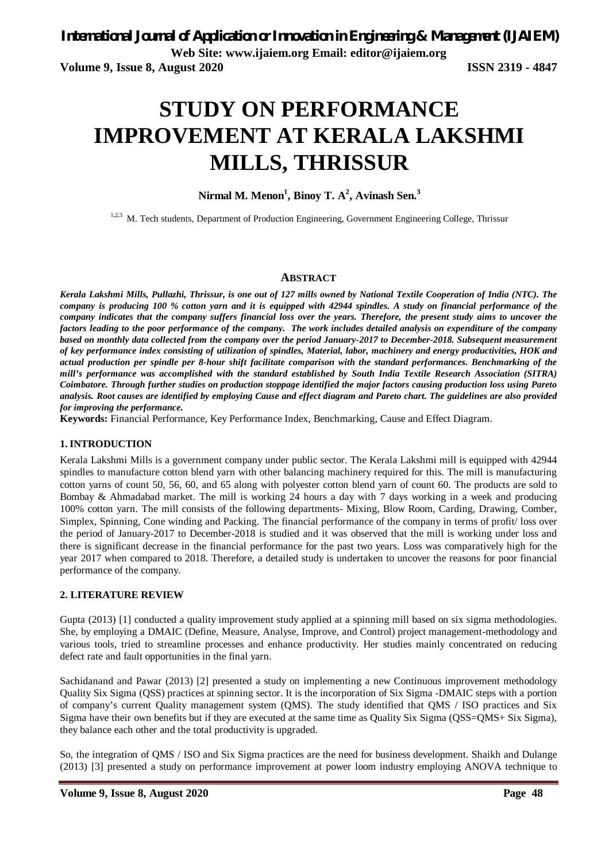**Volume 9, Issue 8, August 2020 ISSN 2319 - 4847**

# **STUDY ON PERFORMANCE IMPROVEMENT AT KERALA LAKSHMI MILLS, THRISSUR**

# **Nirmal M. Menon<sup>1</sup> , Binoy T. A<sup>2</sup> , Avinash Sen. 3**

<sup>1,2,3</sup> M. Tech students, Department of Production Engineering, Government Engineering College, Thrissur

#### **ABSTRACT**

*Kerala Lakshmi Mills, Pullazhi, Thrissur, is one out of 127 mills owned by National Textile Cooperation of India (NTC). The company is producing 100 % cotton yarn and it is equipped with 42944 spindles. A study on financial performance of the company indicates that the company suffers financial loss over the years. Therefore, the present study aims to uncover the factors leading to the poor performance of the company. The work includes detailed analysis on expenditure of the company based on monthly data collected from the company over the period January-2017 to December-2018. Subsequent measurement of key performance index consisting of utilization of spindles, Material, labor, machinery and energy productivities, HOK and actual production per spindle per 8-hour shift facilitate comparison with the standard performances. Benchmarking of the mill's performance was accomplished with the standard established by South India Textile Research Association (SITRA) Coimbatore. Through further studies on production stoppage identified the major factors causing production loss using Pareto analysis. Root causes are identified by employing Cause and effect diagram and Pareto chart. The guidelines are also provided for improving the performance.*

**Keywords:** Financial Performance, Key Performance Index, Benchmarking, Cause and Effect Diagram.

#### **1. INTRODUCTION**

Kerala Lakshmi Mills is a government company under public sector. The Kerala Lakshmi mill is equipped with 42944 spindles to manufacture cotton blend yarn with other balancing machinery required for this. The mill is manufacturing cotton yarns of count 50, 56, 60, and 65 along with polyester cotton blend yarn of count 60. The products are sold to Bombay & Ahmadabad market. The mill is working 24 hours a day with 7 days working in a week and producing 100% cotton yarn. The mill consists of the following departments- Mixing, Blow Room, Carding, Drawing, Comber, Simplex, Spinning, Cone winding and Packing. The financial performance of the company in terms of profit/ loss over the period of January-2017 to December-2018 is studied and it was observed that the mill is working under loss and there is significant decrease in the financial performance for the past two years. Loss was comparatively high for the year 2017 when compared to 2018. Therefore, a detailed study is undertaken to uncover the reasons for poor financial performance of the company.

#### **2. LITERATURE REVIEW**

Gupta (2013) [1] conducted a quality improvement study applied at a spinning mill based on six sigma methodologies. She, by employing a DMAIC (Define, Measure, Analyse, Improve, and Control) project management-methodology and various tools, tried to streamline processes and enhance productivity. Her studies mainly concentrated on reducing defect rate and fault opportunities in the final yarn.

Sachidanand and Pawar (2013) [2] presented a study on implementing a new Continuous improvement methodology Quality Six Sigma (QSS) practices at spinning sector. It is the incorporation of Six Sigma -DMAIC steps with a portion of company's current Quality management system (QMS). The study identified that QMS / ISO practices and Six Sigma have their own benefits but if they are executed at the same time as Quality Six Sigma (QSS=QMS+ Six Sigma), they balance each other and the total productivity is upgraded.

So, the integration of QMS / ISO and Six Sigma practices are the need for business development. Shaikh and Dulange (2013) [3] presented a study on performance improvement at power loom industry employing ANOVA technique to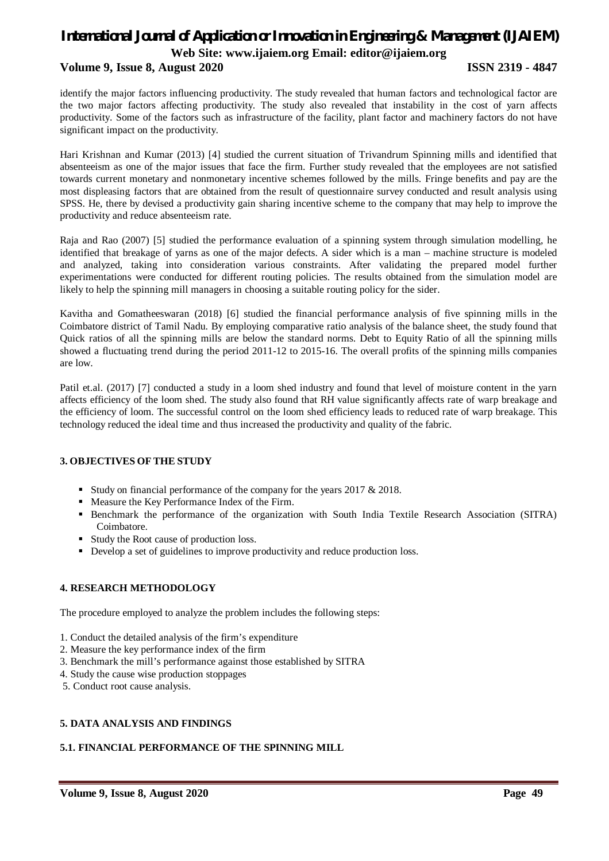#### **Volume 9, Issue 8, August 2020 ISSN 2319 - 4847**

identify the major factors influencing productivity. The study revealed that human factors and technological factor are the two major factors affecting productivity. The study also revealed that instability in the cost of yarn affects productivity. Some of the factors such as infrastructure of the facility, plant factor and machinery factors do not have significant impact on the productivity.

Hari Krishnan and Kumar (2013) [4] studied the current situation of Trivandrum Spinning mills and identified that absenteeism as one of the major issues that face the firm. Further study revealed that the employees are not satisfied towards current monetary and nonmonetary incentive schemes followed by the mills. Fringe benefits and pay are the most displeasing factors that are obtained from the result of questionnaire survey conducted and result analysis using SPSS. He, there by devised a productivity gain sharing incentive scheme to the company that may help to improve the productivity and reduce absenteeism rate.

Raja and Rao (2007) [5] studied the performance evaluation of a spinning system through simulation modelling, he identified that breakage of yarns as one of the major defects. A sider which is a man – machine structure is modeled and analyzed, taking into consideration various constraints. After validating the prepared model further experimentations were conducted for different routing policies. The results obtained from the simulation model are likely to help the spinning mill managers in choosing a suitable routing policy for the sider.

Kavitha and Gomatheeswaran (2018) [6] studied the financial performance analysis of five spinning mills in the Coimbatore district of Tamil Nadu. By employing comparative ratio analysis of the balance sheet, the study found that Quick ratios of all the spinning mills are below the standard norms. Debt to Equity Ratio of all the spinning mills showed a fluctuating trend during the period 2011-12 to 2015-16. The overall profits of the spinning mills companies are low.

Patil et.al. (2017) [7] conducted a study in a loom shed industry and found that level of moisture content in the yarn affects efficiency of the loom shed. The study also found that RH value significantly affects rate of warp breakage and the efficiency of loom. The successful control on the loom shed efficiency leads to reduced rate of warp breakage. This technology reduced the ideal time and thus increased the productivity and quality of the fabric.

## **3. OBJECTIVES OF THE STUDY**

- Study on financial performance of the company for the years  $2017 \& 2018$ .
- Measure the Key Performance Index of the Firm.
- Benchmark the performance of the organization with South India Textile Research Association (SITRA) Coimbatore.
- Study the Root cause of production loss.
- Develop a set of guidelines to improve productivity and reduce production loss.

## **4. RESEARCH METHODOLOGY**

The procedure employed to analyze the problem includes the following steps:

- 1. Conduct the detailed analysis of the firm's expenditure
- 2. Measure the key performance index of the firm
- 3. Benchmark the mill's performance against those established by SITRA
- 4. Study the cause wise production stoppages
- 5. Conduct root cause analysis.

### **5. DATA ANALYSIS AND FINDINGS**

## **5.1. FINANCIAL PERFORMANCE OF THE SPINNING MILL**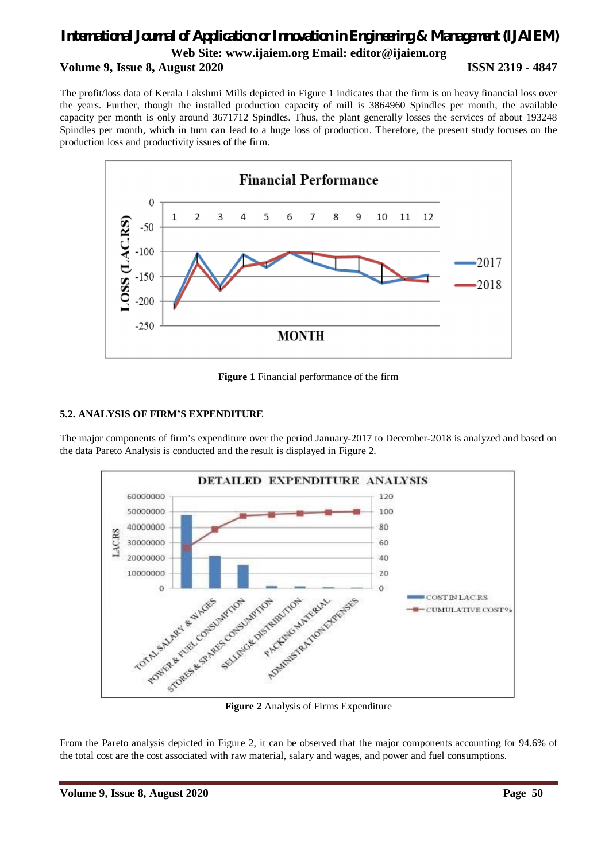# *International Journal of Application or Innovation in Engineering & Management (IJAIEM)* **Web Site: www.ijaiem.org Email: editor@ijaiem.org Volume 9, Issue 8, August 2020 ISSN 2319 - 4847**

The profit/loss data of Kerala Lakshmi Mills depicted in Figure 1 indicates that the firm is on heavy financial loss over the years. Further, though the installed production capacity of mill is 3864960 Spindles per month, the available capacity per month is only around 3671712 Spindles. Thus, the plant generally losses the services of about 193248 Spindles per month, which in turn can lead to a huge loss of production. Therefore, the present study focuses on the production loss and productivity issues of the firm.



**Figure 1** Financial performance of the firm

### **5.2. ANALYSIS OF FIRM'S EXPENDITURE**

The major components of firm's expenditure over the period January-2017 to December-2018 is analyzed and based on the data Pareto Analysis is conducted and the result is displayed in Figure 2.



From the Pareto analysis depicted in Figure 2, it can be observed that the major components accounting for 94.6% of the total cost are the cost associated with raw material, salary and wages, and power and fuel consumptions.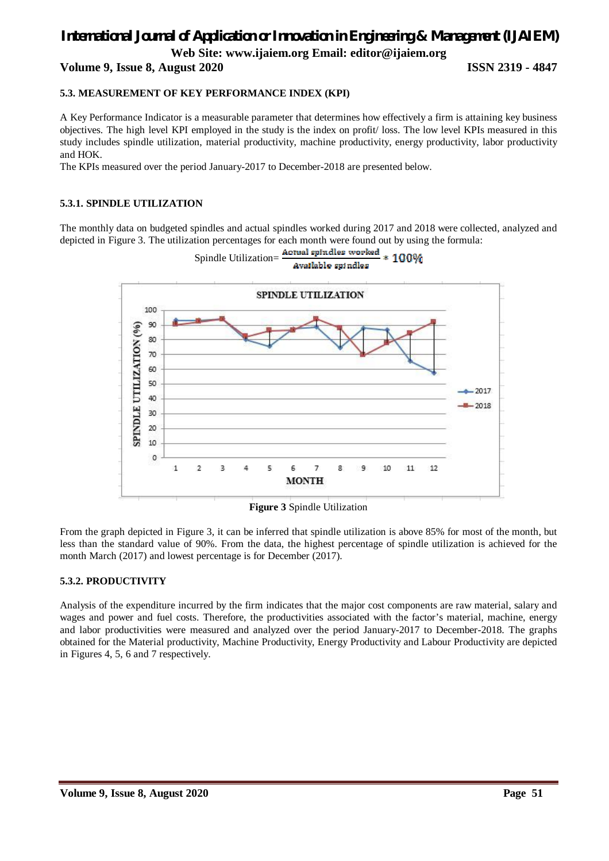**Volume 9, Issue 8, August 2020 ISSN 2319 - 4847**

#### **5.3. MEASUREMENT OF KEY PERFORMANCE INDEX (KPI)**

A Key Performance Indicator is a measurable parameter that determines how effectively a firm is attaining key business objectives. The high level KPI employed in the study is the index on profit/ loss. The low level KPIs measured in this study includes spindle utilization, material productivity, machine productivity, energy productivity, labor productivity and HOK.

The KPIs measured over the period January-2017 to December-2018 are presented below.

#### **5.3.1. SPINDLE UTILIZATION**

The monthly data on budgeted spindles and actual spindles worked during 2017 and 2018 were collected, analyzed and depicted in Figure 3. The utilization percentages for each month were found out by using the formula: Spindle Utilization= Actual spindles worked

Available spindles

100%



**Figure 3** Spindle Utilization

From the graph depicted in Figure 3, it can be inferred that spindle utilization is above 85% for most of the month, but less than the standard value of 90%. From the data, the highest percentage of spindle utilization is achieved for the month March (2017) and lowest percentage is for December (2017).

#### **5.3.2. PRODUCTIVITY**

Analysis of the expenditure incurred by the firm indicates that the major cost components are raw material, salary and wages and power and fuel costs. Therefore, the productivities associated with the factor's material, machine, energy and labor productivities were measured and analyzed over the period January-2017 to December-2018. The graphs obtained for the Material productivity, Machine Productivity, Energy Productivity and Labour Productivity are depicted in Figures 4, 5, 6 and 7 respectively.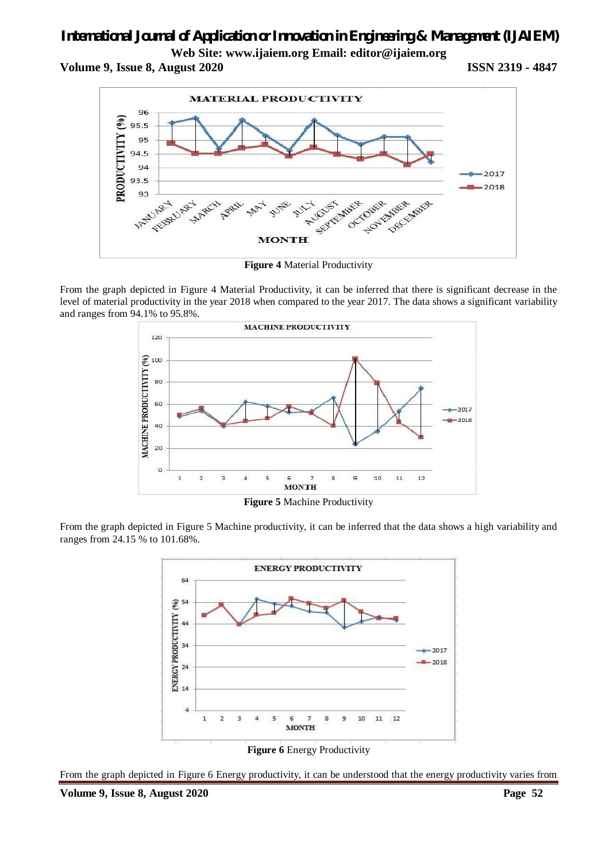# *International Journal of Application or Innovation in Engineering & Management (IJAIEM)*

**Web Site: www.ijaiem.org Email: editor@ijaiem.org**

**Volume 9, Issue 8, August 2020 ISSN 2319 - 4847**



**Figure 4** Material Productivity

From the graph depicted in Figure 4 Material Productivity, it can be inferred that there is significant decrease in the level of material productivity in the year 2018 when compared to the year 2017. The data shows a significant variability and ranges from 94.1% to 95.8%.



**Figure 5** Machine Productivity

From the graph depicted in Figure 5 Machine productivity, it can be inferred that the data shows a high variability and ranges from 24.15 % to 101.68%.



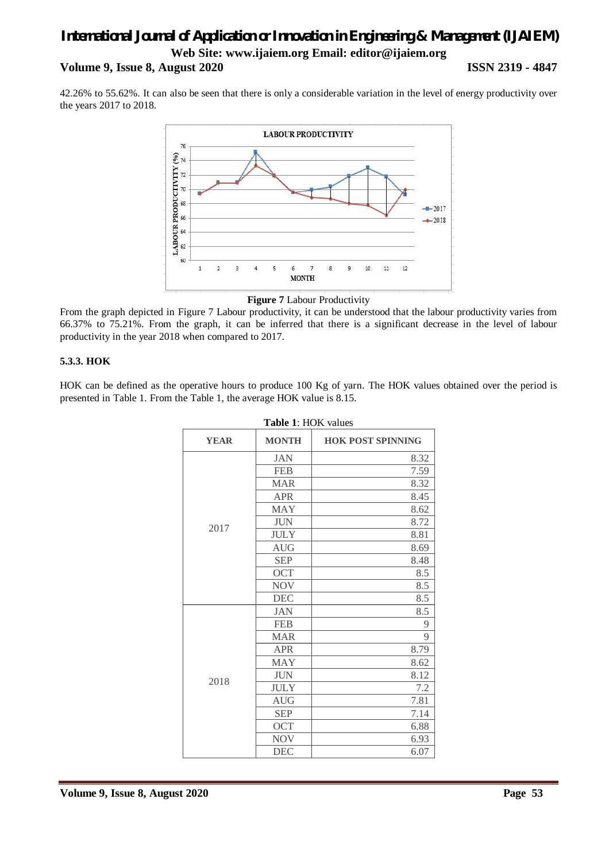# *International Journal of Application or Innovation in Engineering & Management (IJAIEM)* **Web Site: www.ijaiem.org Email: editor@ijaiem.org Volume 9, Issue 8, August 2020 ISSN 2319 - 4847**

42.26% to 55.62%. It can also be seen that there is only a considerable variation in the level of energy productivity over the years 2017 to 2018.



**Figure 7** Labour Productivity

From the graph depicted in Figure 7 Labour productivity, it can be understood that the labour productivity varies from 66.37% to 75.21%. From the graph, it can be inferred that there is a significant decrease in the level of labour productivity in the year 2018 when compared to 2017.

#### **5.3.3. HOK**

HOK can be defined as the operative hours to produce 100 Kg of yarn. The HOK values obtained over the period is presented in Table 1. From the Table 1, the average HOK value is 8.15.

| Table 1: HOK values |              |                          |  |  |  |  |
|---------------------|--------------|--------------------------|--|--|--|--|
| <b>YEAR</b>         | <b>MONTH</b> | <b>HOK POST SPINNING</b> |  |  |  |  |
|                     | <b>JAN</b>   | 8.32                     |  |  |  |  |
|                     | <b>FEB</b>   | 7.59                     |  |  |  |  |
|                     | <b>MAR</b>   | 8.32                     |  |  |  |  |
|                     | <b>APR</b>   | 8.45                     |  |  |  |  |
|                     | <b>MAY</b>   | 8.62                     |  |  |  |  |
|                     | <b>JUN</b>   | 8.72                     |  |  |  |  |
| 2017                | <b>JULY</b>  | 8.81                     |  |  |  |  |
|                     | <b>AUG</b>   | 8.69                     |  |  |  |  |
|                     | <b>SEP</b>   | 8.48                     |  |  |  |  |
|                     | <b>OCT</b>   | 8.5                      |  |  |  |  |
|                     | <b>NOV</b>   | 8.5                      |  |  |  |  |
|                     | <b>DEC</b>   | 8.5                      |  |  |  |  |
|                     | <b>JAN</b>   | 8.5                      |  |  |  |  |
|                     | <b>FEB</b>   | 9                        |  |  |  |  |
|                     | <b>MAR</b>   | 9                        |  |  |  |  |
|                     | <b>APR</b>   | 8.79                     |  |  |  |  |
|                     | <b>MAY</b>   | 8.62                     |  |  |  |  |
| 2018                | <b>JUN</b>   | 8.12                     |  |  |  |  |
|                     | <b>JULY</b>  | 7.2                      |  |  |  |  |
|                     | AUG          | 7.81                     |  |  |  |  |
|                     | <b>SEP</b>   | 7.14                     |  |  |  |  |
|                     | <b>OCT</b>   | 6.88                     |  |  |  |  |
|                     | <b>NOV</b>   | 6.93                     |  |  |  |  |
|                     | <b>DEC</b>   | 6.07                     |  |  |  |  |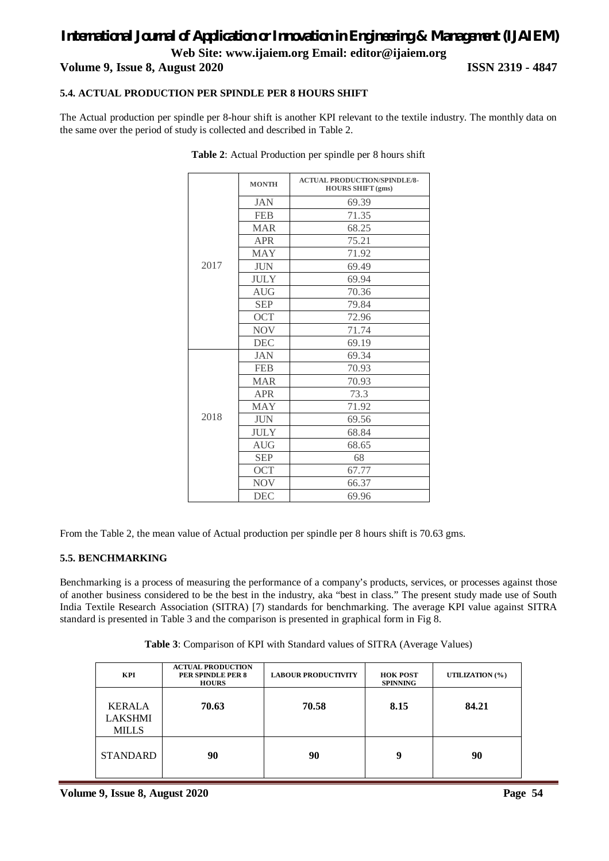**Volume 9, Issue 8, August 2020 ISSN 2319 - 4847**

#### **5.4. ACTUAL PRODUCTION PER SPINDLE PER 8 HOURS SHIFT**

The Actual production per spindle per 8-hour shift is another KPI relevant to the textile industry. The monthly data on the same over the period of study is collected and described in Table 2.

|      | <b>MONTH</b> | <b>ACTUAL PRODUCTION/SPINDLE/8-</b><br><b>HOURS SHIFT (gms)</b> |  |  |
|------|--------------|-----------------------------------------------------------------|--|--|
|      | <b>JAN</b>   | 69.39                                                           |  |  |
|      | <b>FEB</b>   | 71.35                                                           |  |  |
|      | <b>MAR</b>   | 68.25                                                           |  |  |
|      | <b>APR</b>   | 75.21                                                           |  |  |
|      | <b>MAY</b>   | 71.92                                                           |  |  |
| 2017 | $\rm JUN$    | 69.49                                                           |  |  |
|      | <b>JULY</b>  | 69.94                                                           |  |  |
|      | <b>AUG</b>   | 70.36                                                           |  |  |
|      | <b>SEP</b>   | 79.84                                                           |  |  |
|      | <b>OCT</b>   | 72.96                                                           |  |  |
|      | <b>NOV</b>   | 71.74                                                           |  |  |
|      | <b>DEC</b>   | 69.19                                                           |  |  |
|      | <b>JAN</b>   | 69.34                                                           |  |  |
|      | <b>FEB</b>   | 70.93                                                           |  |  |
|      | <b>MAR</b>   | 70.93                                                           |  |  |
|      | <b>APR</b>   | 73.3                                                            |  |  |
|      | <b>MAY</b>   | 71.92                                                           |  |  |
| 2018 | $\rm JUN$    | 69.56                                                           |  |  |
|      | <b>JULY</b>  | 68.84                                                           |  |  |
|      | <b>AUG</b>   | 68.65                                                           |  |  |
|      | <b>SEP</b>   | 68                                                              |  |  |
|      | <b>OCT</b>   | 67.77                                                           |  |  |
|      | <b>NOV</b>   | 66.37                                                           |  |  |
|      | <b>DEC</b>   | 69.96                                                           |  |  |

**Table 2**: Actual Production per spindle per 8 hours shift

From the Table 2, the mean value of Actual production per spindle per 8 hours shift is 70.63 gms.

#### **5.5. BENCHMARKING**

Benchmarking is a process of measuring the performance of a company's products, services, or processes against those of another business considered to be the best in the industry, aka "best in class." The present study made use of South India Textile Research Association (SITRA) [7) standards for benchmarking. The average KPI value against SITRA standard is presented in Table 3 and the comparison is presented in graphical form in Fig 8.

| Table 3: Comparison of KPI with Standard values of SITRA (Average Values) |  |  |  |  |
|---------------------------------------------------------------------------|--|--|--|--|
|---------------------------------------------------------------------------|--|--|--|--|

| KPI                                             | <b>ACTUAL PRODUCTION</b><br>PER SPINDLE PER 8<br><b>HOURS</b> | <b>LABOUR PRODUCTIVITY</b> | <b>HOK POST</b><br><b>SPINNING</b> | UTILIZATION (%) |
|-------------------------------------------------|---------------------------------------------------------------|----------------------------|------------------------------------|-----------------|
| <b>KERALA</b><br><b>LAKSHMI</b><br><b>MILLS</b> | 70.63                                                         | 70.58                      | 8.15                               | 84.21           |
| <b>STANDARD</b>                                 | 90                                                            | 90                         | Q                                  | 90              |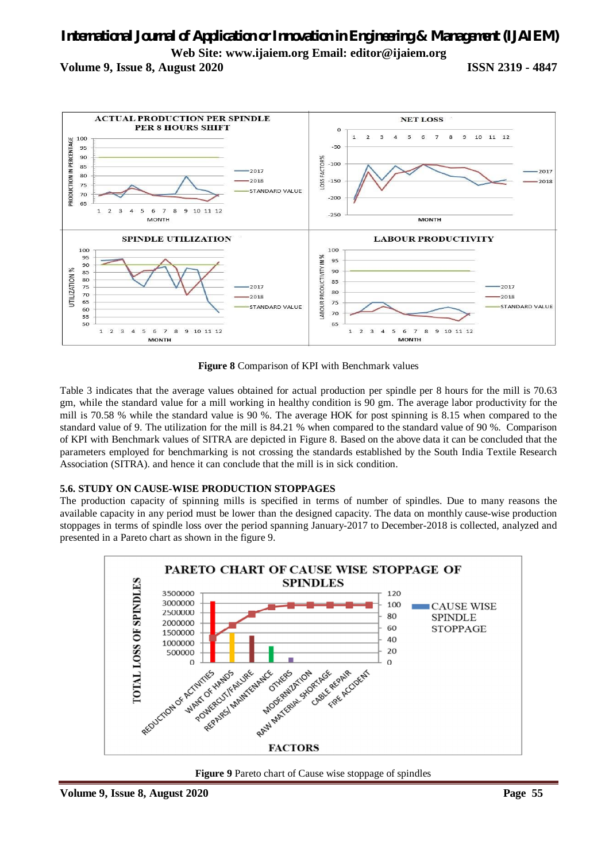**Volume 9, Issue 8, August 2020 ISSN 2319 - 4847**



**Figure 8** Comparison of KPI with Benchmark values

Table 3 indicates that the average values obtained for actual production per spindle per 8 hours for the mill is 70.63 gm, while the standard value for a mill working in healthy condition is 90 gm. The average labor productivity for the mill is 70.58 % while the standard value is 90 %. The average HOK for post spinning is 8.15 when compared to the standard value of 9. The utilization for the mill is 84.21 % when compared to the standard value of 90 %. Comparison of KPI with Benchmark values of SITRA are depicted in Figure 8. Based on the above data it can be concluded that the parameters employed for benchmarking is not crossing the standards established by the South India Textile Research Association (SITRA). and hence it can conclude that the mill is in sick condition.

#### **5.6. STUDY ON CAUSE-WISE PRODUCTION STOPPAGES**

The production capacity of spinning mills is specified in terms of number of spindles. Due to many reasons the available capacity in any period must be lower than the designed capacity. The data on monthly cause-wise production stoppages in terms of spindle loss over the period spanning January-2017 to December-2018 is collected, analyzed and presented in a Pareto chart as shown in the figure 9.



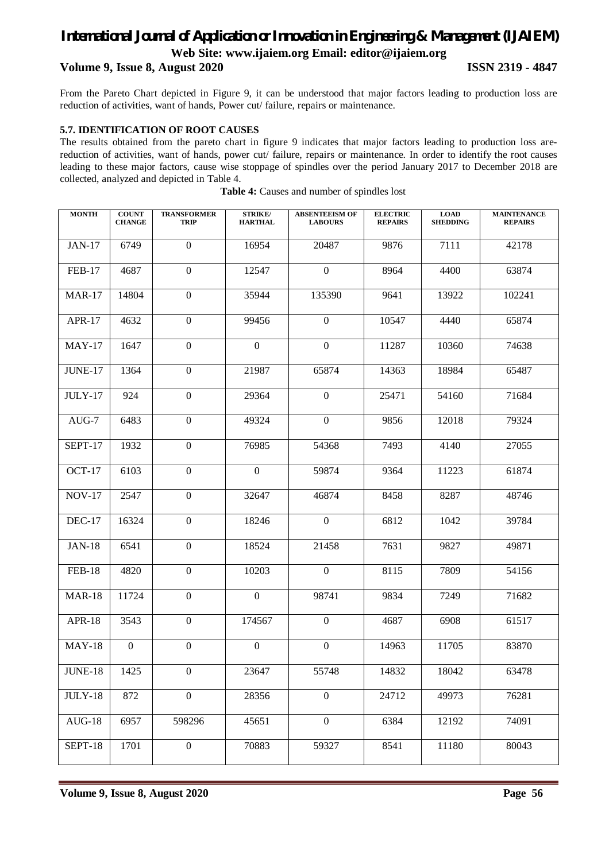# *International Journal of Application or Innovation in Engineering & Management (IJAIEM)*

**Web Site: www.ijaiem.org Email: editor@ijaiem.org**

#### **Volume 9, Issue 8, August 2020 ISSN 2319 - 4847**

From the Pareto Chart depicted in Figure 9, it can be understood that major factors leading to production loss are reduction of activities, want of hands, Power cut/ failure, repairs or maintenance.

#### **5.7. IDENTIFICATION OF ROOT CAUSES**

The results obtained from the pareto chart in figure 9 indicates that major factors leading to production loss arereduction of activities, want of hands, power cut/ failure, repairs or maintenance. In order to identify the root causes leading to these major factors, cause wise stoppage of spindles over the period January 2017 to December 2018 are collected, analyzed and depicted in Table 4.

| <b>MONTH</b>   | <b>COUNT</b><br><b>CHANGE</b> | <b>TRANSFORMER</b><br><b>TRIP</b> | <b>STRIKE/</b><br><b>HARTHAL</b> | <b>ABSENTEEISM OF</b><br><b>LABOURS</b> | <b>ELECTRIC</b><br><b>REPAIRS</b> | <b>LOAD</b><br><b>SHEDDING</b> | <b>MAINTENANCE</b><br><b>REPAIRS</b> |
|----------------|-------------------------------|-----------------------------------|----------------------------------|-----------------------------------------|-----------------------------------|--------------------------------|--------------------------------------|
| <b>JAN-17</b>  | 6749                          | $\overline{0}$                    | 16954                            | 20487                                   | 9876                              | 7111                           | 42178                                |
| <b>FEB-17</b>  | 4687                          | $\Omega$                          | 12547                            | $\Omega$                                | 8964                              | 4400                           | 63874                                |
| <b>MAR-17</b>  | 14804                         | $\boldsymbol{0}$                  | 35944                            | 135390                                  | 9641                              | 13922                          | 102241                               |
| APR-17         | 4632                          | $\boldsymbol{0}$                  | 99456                            | $\boldsymbol{0}$                        | 10547                             | 4440                           | 65874                                |
| $MAY-17$       | 1647                          | $\boldsymbol{0}$                  | $\Omega$                         | $\boldsymbol{0}$                        | 11287                             | 10360                          | 74638                                |
| JUNE-17        | 1364                          | $\boldsymbol{0}$                  | 21987                            | 65874                                   | 14363                             | 18984                          | 65487                                |
| $JULY-17$      | 924                           | $\mathbf{0}$                      | 29364                            | $\boldsymbol{0}$                        | 25471                             | 54160                          | 71684                                |
| $AUG-7$        | 6483                          | $\boldsymbol{0}$                  | 49324                            | $\boldsymbol{0}$                        | 9856                              | 12018                          | 79324                                |
| <b>SEPT-17</b> | 1932                          | $\boldsymbol{0}$                  | 76985                            | 54368                                   | 7493                              | 4140                           | 27055                                |
| $OCT-17$       | 6103                          | $\boldsymbol{0}$                  | $\boldsymbol{0}$                 | 59874                                   | 9364                              | 11223                          | 61874                                |
| <b>NOV-17</b>  | 2547                          | $\boldsymbol{0}$                  | 32647                            | 46874                                   | 8458                              | 8287                           | 48746                                |
| $DEC-17$       | 16324                         | $\boldsymbol{0}$                  | 18246                            | $\mathbf{0}$                            | 6812                              | 1042                           | 39784                                |
| <b>JAN-18</b>  | 6541                          | $\boldsymbol{0}$                  | 18524                            | 21458                                   | 7631                              | 9827                           | 49871                                |
| <b>FEB-18</b>  | 4820                          | $\boldsymbol{0}$                  | 10203                            | $\boldsymbol{0}$                        | 8115                              | 7809                           | 54156                                |
| <b>MAR-18</b>  | 11724                         | $\boldsymbol{0}$                  | $\mathbf{0}$                     | 98741                                   | 9834                              | 7249                           | 71682                                |
| <b>APR-18</b>  | 3543                          | $\boldsymbol{0}$                  | 174567                           | $\boldsymbol{0}$                        | 4687                              | 6908                           | 61517                                |
| <b>MAY-18</b>  | $\mathbf{0}$                  | $\boldsymbol{0}$                  | $\mathbf{0}$                     | $\boldsymbol{0}$                        | 14963                             | 11705                          | 83870                                |
| JUNE-18        | 1425                          | $\boldsymbol{0}$                  | 23647                            | 55748                                   | 14832                             | 18042                          | 63478                                |
| $JULY-18$      | 872                           | $\mathbf{0}$                      | 28356                            | $\overline{0}$                          | 24712                             | 49973                          | 76281                                |
| $AUG-18$       | 6957                          | 598296                            | 45651                            | $\mathbf{0}$                            | 6384                              | 12192                          | 74091                                |
| SEPT-18        | 1701                          | $\mathbf{0}$                      | 70883                            | 59327                                   | 8541                              | 11180                          | 80043                                |

**Table 4:** Causes and number of spindles lost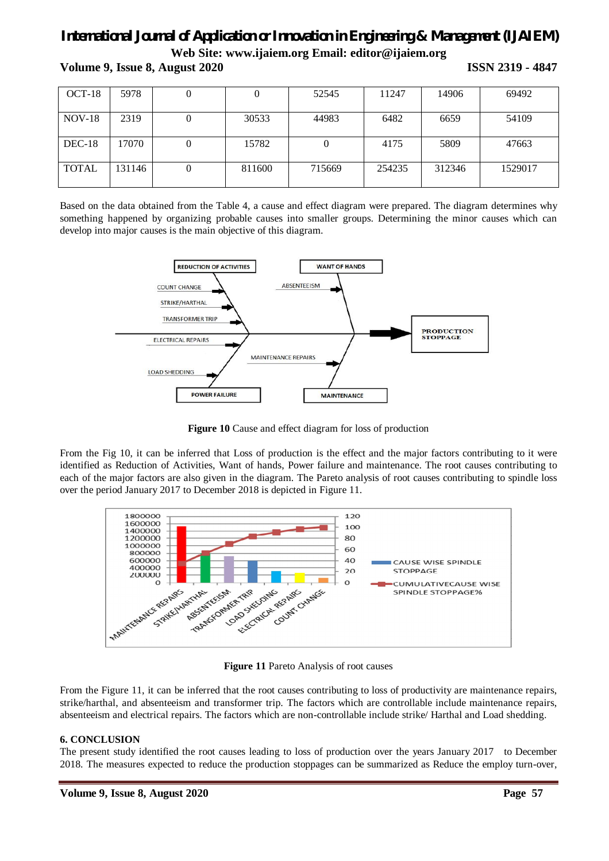**Volume 9, Issue 8, August 2020 ISSN 2319 - 4847**

| OCT-18       | 5978   |        | 52545  | 11247  | 14906  | 69492   |
|--------------|--------|--------|--------|--------|--------|---------|
| $NOV-18$     | 2319   | 30533  | 44983  | 6482   | 6659   | 54109   |
| $DEC-18$     | 17070  | 15782  | U      | 4175   | 5809   | 47663   |
| <b>TOTAL</b> | 131146 | 811600 | 715669 | 254235 | 312346 | 1529017 |

Based on the data obtained from the Table 4, a cause and effect diagram were prepared. The diagram determines why something happened by organizing probable causes into smaller groups. Determining the minor causes which can develop into major causes is the main objective of this diagram.



**Figure 10** Cause and effect diagram for loss of production

From the Fig 10, it can be inferred that Loss of production is the effect and the major factors contributing to it were identified as Reduction of Activities, Want of hands, Power failure and maintenance. The root causes contributing to each of the major factors are also given in the diagram. The Pareto analysis of root causes contributing to spindle loss over the period January 2017 to December 2018 is depicted in Figure 11.



**Figure 11** Pareto Analysis of root causes

From the Figure 11, it can be inferred that the root causes contributing to loss of productivity are maintenance repairs, strike/harthal, and absenteeism and transformer trip. The factors which are controllable include maintenance repairs, absenteeism and electrical repairs. The factors which are non-controllable include strike/ Harthal and Load shedding.

#### **6. CONCLUSION**

The present study identified the root causes leading to loss of production over the years January 2017 to December 2018. The measures expected to reduce the production stoppages can be summarized as Reduce the employ turn-over,